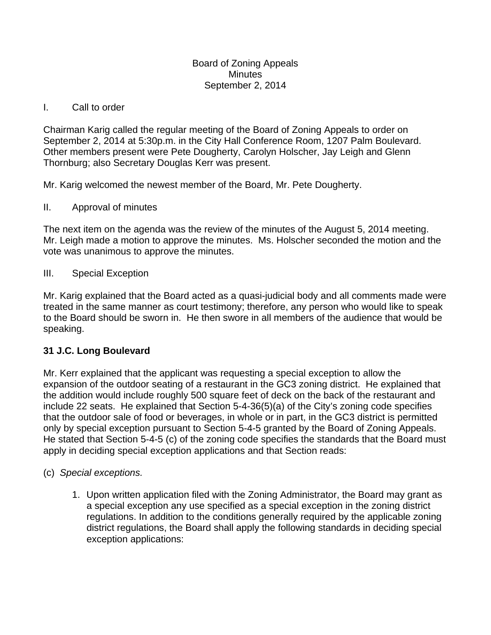#### Board of Zoning Appeals **Minutes** September 2, 2014

## I. Call to order

Chairman Karig called the regular meeting of the Board of Zoning Appeals to order on September 2, 2014 at 5:30p.m. in the City Hall Conference Room, 1207 Palm Boulevard. Other members present were Pete Dougherty, Carolyn Holscher, Jay Leigh and Glenn Thornburg; also Secretary Douglas Kerr was present.

Mr. Karig welcomed the newest member of the Board, Mr. Pete Dougherty.

## II. Approval of minutes

The next item on the agenda was the review of the minutes of the August 5, 2014 meeting. Mr. Leigh made a motion to approve the minutes. Ms. Holscher seconded the motion and the vote was unanimous to approve the minutes.

## III. Special Exception

Mr. Karig explained that the Board acted as a quasi-judicial body and all comments made were treated in the same manner as court testimony; therefore, any person who would like to speak to the Board should be sworn in. He then swore in all members of the audience that would be speaking.

# **31 J.C. Long Boulevard**

Mr. Kerr explained that the applicant was requesting a special exception to allow the expansion of the outdoor seating of a restaurant in the GC3 zoning district. He explained that the addition would include roughly 500 square feet of deck on the back of the restaurant and include 22 seats. He explained that Section 5-4-36(5)(a) of the City's zoning code specifies that the outdoor sale of food or beverages, in whole or in part, in the GC3 district is permitted only by special exception pursuant to Section 5-4-5 granted by the Board of Zoning Appeals. He stated that Section 5-4-5 (c) of the zoning code specifies the standards that the Board must apply in deciding special exception applications and that Section reads:

#### (c) *Special exceptions.*

1. Upon written application filed with the Zoning Administrator, the Board may grant as a special exception any use specified as a special exception in the zoning district regulations. In addition to the conditions generally required by the applicable zoning district regulations, the Board shall apply the following standards in deciding special exception applications: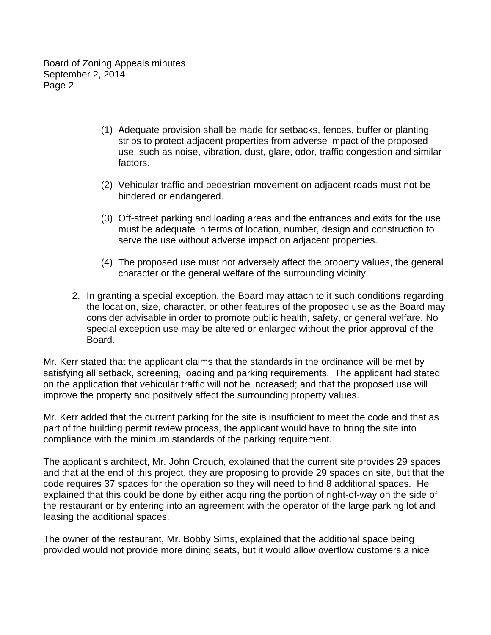Board of Zoning Appeals minutes September 2, 2014 Page 2

- (1) Adequate provision shall be made for setbacks, fences, buffer or planting strips to protect adjacent properties from adverse impact of the proposed use, such as noise, vibration, dust, glare, odor, traffic congestion and similar factors.
- (2) Vehicular traffic and pedestrian movement on adjacent roads must not be hindered or endangered.
- (3) Off-street parking and loading areas and the entrances and exits for the use must be adequate in terms of location, number, design and construction to serve the use without adverse impact on adjacent properties.
- (4) The proposed use must not adversely affect the property values, the general character or the general welfare of the surrounding vicinity.
- 2. In granting a special exception, the Board may attach to it such conditions regarding the location, size, character, or other features of the proposed use as the Board may consider advisable in order to promote public health, safety, or general welfare. No special exception use may be altered or enlarged without the prior approval of the Board.

Mr. Kerr stated that the applicant claims that the standards in the ordinance will be met by satisfying all setback, screening, loading and parking requirements. The applicant had stated on the application that vehicular traffic will not be increased; and that the proposed use will improve the property and positively affect the surrounding property values.

Mr. Kerr added that the current parking for the site is insufficient to meet the code and that as part of the building permit review process, the applicant would have to bring the site into compliance with the minimum standards of the parking requirement.

The applicant's architect, Mr. John Crouch, explained that the current site provides 29 spaces and that at the end of this project, they are proposing to provide 29 spaces on site, but that the code requires 37 spaces for the operation so they will need to find 8 additional spaces. He explained that this could be done by either acquiring the portion of right-of-way on the side of the restaurant or by entering into an agreement with the operator of the large parking lot and leasing the additional spaces.

The owner of the restaurant, Mr. Bobby Sims, explained that the additional space being provided would not provide more dining seats, but it would allow overflow customers a nice